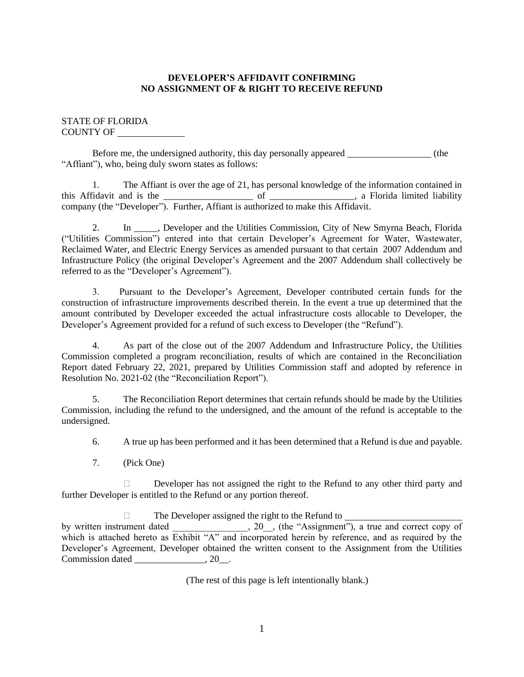# **DEVELOPER'S AFFIDAVIT CONFIRMING NO ASSIGNMENT OF & RIGHT TO RECEIVE REFUND**

# STATE OF FLORIDA COUNTY OF

Before me, the undersigned authority, this day personally appeared (the "Affiant"), who, being duly sworn states as follows:

1. The Affiant is over the age of 21, has personal knowledge of the information contained in this Affidavit and is the \_\_\_\_\_\_\_\_\_\_\_\_\_\_\_\_\_\_\_ of \_\_\_\_\_\_\_\_\_\_\_\_\_\_\_\_\_\_, a Florida limited liability company (the "Developer"). Further, Affiant is authorized to make this Affidavit.

2. In Developer and the Utilities Commission, City of New Smyrna Beach, Florida ("Utilities Commission") entered into that certain Developer's Agreement for Water, Wastewater, Reclaimed Water, and Electric Energy Services as amended pursuant to that certain 2007 Addendum and Infrastructure Policy (the original Developer's Agreement and the 2007 Addendum shall collectively be referred to as the "Developer's Agreement").

3. Pursuant to the Developer's Agreement, Developer contributed certain funds for the construction of infrastructure improvements described therein. In the event a true up determined that the amount contributed by Developer exceeded the actual infrastructure costs allocable to Developer, the Developer's Agreement provided for a refund of such excess to Developer (the "Refund").

4. As part of the close out of the 2007 Addendum and Infrastructure Policy, the Utilities Commission completed a program reconciliation, results of which are contained in the Reconciliation Report dated February 22, 2021, prepared by Utilities Commission staff and adopted by reference in Resolution No. 2021-02 (the "Reconciliation Report").

5. The Reconciliation Report determines that certain refunds should be made by the Utilities Commission, including the refund to the undersigned, and the amount of the refund is acceptable to the undersigned.

6. A true up has been performed and it has been determined that a Refund is due and payable.

7. (Pick One)

Developer has not assigned the right to the Refund to any other third party and further Developer is entitled to the Refund or any portion thereof.

 $\Box$  The Developer assigned the right to the Refund to by written instrument dated \_\_\_\_\_\_\_\_\_\_\_\_\_\_, 20\_, (the "Assignment"), a true and correct copy of which is attached hereto as Exhibit "A" and incorporated herein by reference, and as required by the Developer's Agreement, Developer obtained the written consent to the Assignment from the Utilities Commission dated \_\_\_\_\_\_\_\_\_\_\_\_\_\_\_, 20\_\_.

(The rest of this page is left intentionally blank.)